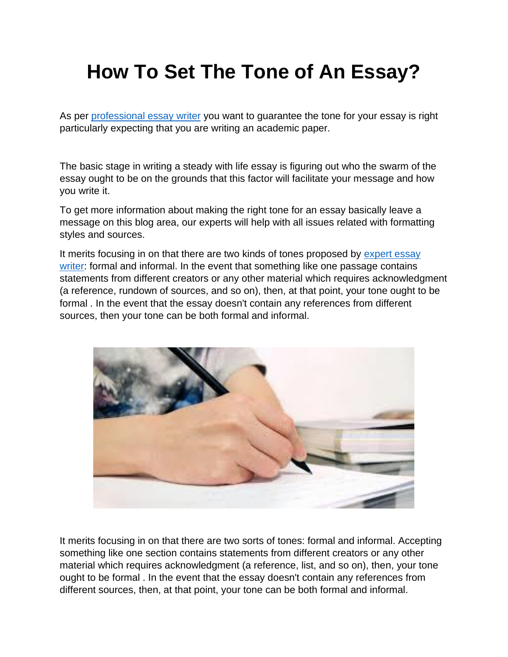## **How To Set The Tone of An Essay?**

As per [professional essay writer](https://youressaywriter.net/) you want to guarantee the tone for your essay is right particularly expecting that you are writing an academic paper.

The basic stage in writing a steady with life essay is figuring out who the swarm of the essay ought to be on the grounds that this factor will facilitate your message and how you write it.

To get more information about making the right tone for an essay basically leave a message on this blog area, our experts will help with all issues related with formatting styles and sources.

It merits focusing in on that there are two kinds of tones proposed by [expert essay](https://youressaywriter.net/)  [writer:](https://youressaywriter.net/) formal and informal. In the event that something like one passage contains statements from different creators or any other material which requires acknowledgment (a reference, rundown of sources, and so on), then, at that point, your tone ought to be formal . In the event that the essay doesn't contain any references from different sources, then your tone can be both formal and informal.



It merits focusing in on that there are two sorts of tones: formal and informal. Accepting something like one section contains statements from different creators or any other material which requires acknowledgment (a reference, list, and so on), then, your tone ought to be formal . In the event that the essay doesn't contain any references from different sources, then, at that point, your tone can be both formal and informal.